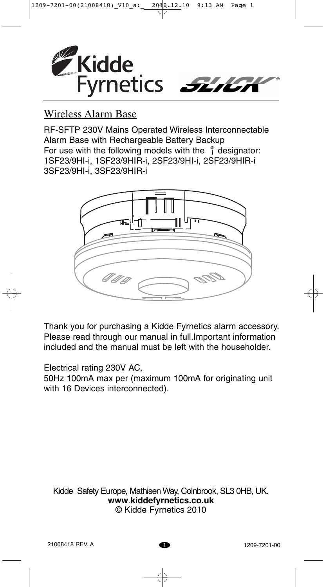

# Wireless Alarm Base

RF-SFTP 230V Mains Operated Wireless Interconnectable Alarm Base with Rechargeable Battery Backup For use with the following models with the  $\hat{i}$  designator: 1SF23/9HI-i, 1SF23/9HIR-i, 2SF23/9HI-i, 2SF23/9HIR-i 3SF23/9HI-i, 3SF23/9HIR-i



Thank you for purchasing a Kidde Fyrnetics alarm accessory. Please read through our manual in full.Important information included and the manual must be left with the householder.

Electrical rating 230V AC,

50Hz 100mA max per (maximum 100mA for originating unit with 16 Devices interconnected).

Kidde Safety Europe, Mathisen Way, Colnbrook, SL3 0HB, UK. **www**.**kiddefyrnetics.co.uk** © Kidde Fyrnetics 2010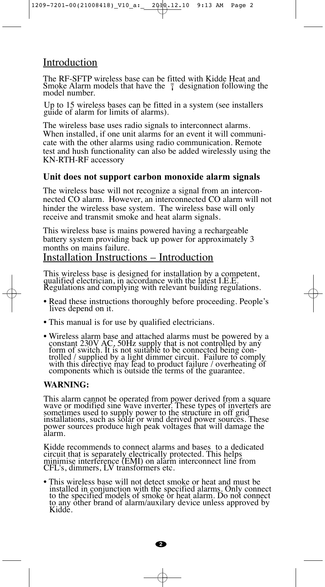## Introduction

The RF-SFTP wireless base can be fitted with Kidde Heat and Smoke Alarm models that have the  $\hat{i}$  designation following the model number.

Up to 15 wireless bases can be fitted in a system (see installers guide of alarm for limits of alarms).

The wireless base uses radio signals to interconnect alarms. When installed, if one unit alarms for an event it will communicate with the other alarms using radio communication. Remote test and hush functionality can also be added wirelessly using the KN-RTH-RF accessory

#### **Unit does not support carbon monoxide alarm signals**

The wireless base will not recognize a signal from an interconnected CO alarm. However, an interconnected CO alarm will not hinder the wireless base system. The wireless base will only receive and transmit smoke and heat alarm signals.

This wireless base is mains powered having a rechargeable battery system providing back up power for approximately 3 months on mains failure.

#### Installation Instructions – Introduction

This wireless base is designed for installation by a competent, qualified electrician, in accordance with the latest I.E.E. Regulations and complying with relevant building regulations.

- Read these instructions thoroughly before proceeding. People's lives depend on it.
- This manual is for use by qualified electricians.
- Wireless alarm base and attached alarms must be powered by a constant 230V AC, 50Hz supply that is not controlled by any form of switch. It is not suitable to be connected being controlled / supplied by a light dimmer circuit. Failure to comply with this directive may lead to product failure / overheating of components which is outside the terms of the guarantee.

#### **WARNING:**

This alarm cannot be operated from power derived from a square wave or modified sine wave inverter. These types of inverters are sometimes used to supply power to the structure in off grid installations, such as solar or wind derived power sources. These power sources produce high peak voltages that will damage the alarm.

Kidde recommends to connect alarms and bases to a dedicated circuit that is separately electrically protected. This helps minimise interference (EMI) on alarm interconnect line from CFL's, dimmers, LV transformers etc.

• This wireless base will not detect smoke or heat and must be installed in conjunction with the specified alarms. Only connect to the specified models of smoke or heat alarm. Do not connect to any other brand of alarm/auxilary device unless approved by Kidde.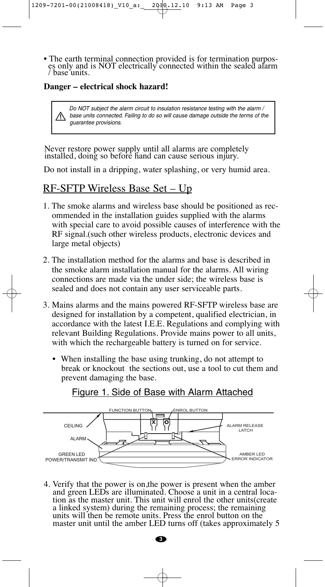• The earth terminal connection provided is for termination purposes only and is NOT electrically connected within the sealed alarm / base units.

#### **Danger – electrical shock hazard!**

Do NOT subject the alarm circuit to insulation resistance testing with the alarm / base units connected. Failing to do so will cause damage outside the terms of the guarantee provisions.

Never restore power supply until all alarms are completely installed, doing so before hand can cause serious injury.

Do not install in a dripping, water splashing, or very humid area.

## RF-SFTP Wireless Base Set – Up

- 1. The smoke alarms and wireless base should be positioned as recommended in the installation guides supplied with the alarms with special care to avoid possible causes of interference with the RF signal.(such other wireless products, electronic devices and large metal objects)
- 2. The installation method for the alarms and base is described in the smoke alarm installation manual for the alarms. All wiring connections are made via the under side; the wireless base is sealed and does not contain any user serviceable parts.
- 3. Mains alarms and the mains powered RF-SFTP wireless base are designed for installation by a competent, qualified electrician, in accordance with the latest I.E.E. Regulations and complying with relevant Building Regulations. Provide mains power to all units, with which the rechargeable battery is turned on for service.
	- When installing the base using trunking, do not attempt to break or knockout the sections out, use a tool to cut them and prevent damaging the base.



Figure 1. Side of Base with Alarm Attached

4. Verify that the power is on,the power is present when the amber and green LEDs are illuminated. Choose a unit in a central location as the master unit. This unit will enrol the other units(create a linked system) during the remaining process; the remaining units will then be remote units. Press the enrol button on the master unit until the amber LED turns off (takes approximately 5

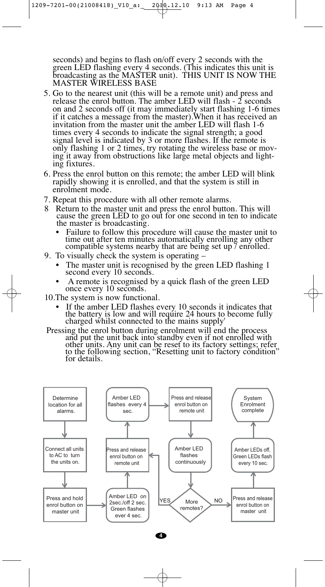seconds) and begins to flash on/off every 2 seconds with the green LED flashing every 4 seconds. (This indicates this unit is broadcasting as the MASTER unit). THIS UNIT IS NOW THE MASTER WIRELESS BASE

- 5. Go to the nearest unit (this will be a remote unit) and press and release the enrol button. The amber LED will flash  $-2$  seconds on and 2 seconds off (it may immediately start flashing 1-6 times if it catches a message from the master).When it has received an invitation from the master unit the amber LED will flash 1-6 times every 4 seconds to indicate the signal strength; a good signal level is indicated by 3 or more flashes. If the remote is only flashing 1 or 2 times, try rotating the wireless base or moving it away from obstructions like large metal objects and lighting fixtures.
- 6. Press the enrol button on this remote; the amber LED will blink rapidly showing it is enrolled, and that the system is still in enrolment mode.
- 7. Repeat this procedure with all other remote alarms.
- 8 Return to the master unit and press the enrol button. This will cause the green LED to go out for one second in ten to indicate the master is broadcasting.
	- Failure to follow this procedure will cause the master unit to time out after ten minutes automatically enrolling any other compatible systems nearby that are being set up / enrolled.
- 9. To visually check the system is operating
	- The master unit is recognised by the green LED flashing 1 second every 10 seconds.
	- A remote is recognised by a quick flash of the green LED once every 10 seconds.
- 10.The system is now functional.
	- If the amber LED flashes every 10 seconds it indicates that the battery is low and will require 24 hours to become fully charged whilst connected to the mains supply'
- Pressing the enrol button during enrolment will end the process and put the unit back into standby even if not enrolled with other units. Any unit can be reset to its factory settings; refer to the following section, "Resetting unit to factory condition" for details.

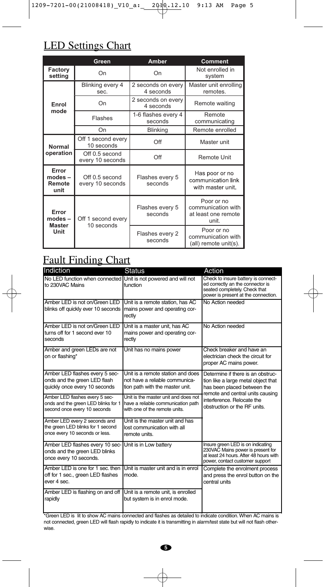# LED Settings Chart

|                                           | 9-7201-00(21008418) V10 a:<br><b>LED Settings Chart</b> | 2040.12.10                      | $9:13$ AM<br>Page                                                |
|-------------------------------------------|---------------------------------------------------------|---------------------------------|------------------------------------------------------------------|
|                                           | Green                                                   | <b>Amber</b>                    | <b>Comment</b>                                                   |
| Factory<br>setting                        | On                                                      | On                              | Not enrolled in<br>system                                        |
| Enrol<br>mode                             | Blinking every 4<br>sec.                                | 2 seconds on every<br>4 seconds | Master unit enrolling<br>remotes.                                |
|                                           | On                                                      | 2 seconds on every<br>4 seconds | Remote waiting                                                   |
|                                           | Flashes                                                 | 1-6 flashes every 4<br>seconds  | Remote<br>communicating                                          |
|                                           | On                                                      | <b>Blinking</b>                 | Remote enrolled                                                  |
| <b>Normal</b><br>operation                | Off 1 second every<br>10 seconds                        | Off                             | Master unit                                                      |
|                                           | Off 0.5 second<br>every 10 seconds                      | Off                             | <b>Remote Unit</b>                                               |
| Error<br>$modes -$<br>Remote<br>unit      | Off 0.5 second<br>every 10 seconds                      | Flashes every 5<br>seconds      | Has poor or no<br>communication link<br>with master unit.        |
| Error<br>modes –<br><b>Master</b><br>Unit | Off 1 second every<br>10 seconds                        | Flashes every 5<br>seconds      | Poor or no<br>communication with<br>at least one remote<br>unit. |
|                                           |                                                         |                                 | Poor or no                                                       |

# Fault Finding Chart

| Indiction                                                                                             | <b>Status</b>                                                                                               | Action                                                                                                                                                                                                    |  |
|-------------------------------------------------------------------------------------------------------|-------------------------------------------------------------------------------------------------------------|-----------------------------------------------------------------------------------------------------------------------------------------------------------------------------------------------------------|--|
| No LED function when connected Unit is not powered and will not<br>to 230VAC Mains                    | function                                                                                                    | Check to insure battery is connect-<br>ed correctly an the connector is<br>seated completely. Check that<br>power is present at the connection.                                                           |  |
| Amber LED is not on/Green LED<br>blinks off quickly ever 10 seconds                                   | Unit is a remote station, has AC<br>mains power and operating cor-<br>rectly                                | No Action needed                                                                                                                                                                                          |  |
| Amber LED is not on/Green LED<br>turns off for 1 second ever 10<br>seconds                            | Unit is a master unit. has AC<br>mains power and operating cor-<br>rectly                                   | No Action needed                                                                                                                                                                                          |  |
| Amber and green LEDs are not<br>on or flashing*                                                       | Unit has no mains power                                                                                     | Check breaker and have an<br>electrician check the circuit for<br>proper AC mains power.                                                                                                                  |  |
| Amber LED flashes every 5 sec-<br>onds and the green LED flash<br>quickly once every 10 seconds       | Unit is a remote station and does<br>not have a reliable communica-<br>tion path with the master unit.      | Determine if there is an obstruc-<br>tion like a large metal object that<br>has been placed between the<br>remote and central units causing<br>interference. Relocate the<br>obstruction or the RF units. |  |
| Amber LED flashes every 5 sec-<br>onds and the green LED blinks for 1<br>second once every 10 seconds | Unit is the master unit and does not<br>have a reliable communication path<br>with one of the remote units. |                                                                                                                                                                                                           |  |
| Amber LED every 2 seconds and<br>the green LED blinks for 1 second<br>once every 10 seconds or less.  | Unit is the master unit and has<br>lost communication with all<br>remote units.                             |                                                                                                                                                                                                           |  |
| Amber LED flashes every 10 sec-<br>onds and the green LED blinks<br>once every 10 seconds.            | Unit is in Low battery                                                                                      | Insure green LED is on indicating<br>230VAC Mains power is present for<br>at least 24 hours. After 48 hours with<br>power, contact customer support                                                       |  |
| Amber LED is one for 1 sec. then<br>off for 1 sec., green LED flashes<br>ever 4 sec.                  | Unit is master unit and is in enrol<br>mode.                                                                | Complete the enrolment process<br>and press the enrol button on the<br>central units                                                                                                                      |  |
| Amber LED is flashing on and off<br>rapidly                                                           | Unit is a remote unit, is enrolled<br>but system is in enrol mode.                                          |                                                                                                                                                                                                           |  |

\*Green LED is lit to show AC mains connected and flashes as detailed to indicate condition. When AC mains is not connected, green LED will flash rapidly to indicate it is transmitting in alarm/test state but will not flash otherwise.



 $\oplus$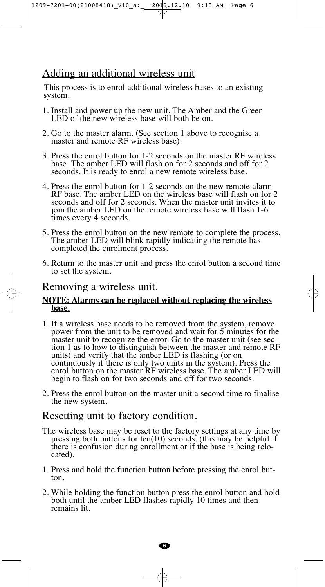1209-7201-00(21008418)\_V10\_a:\_ 2010.12.10 9:13 AM Page 6

## Adding an additional wireless unit

This process is to enrol additional wireless bases to an existing system.

- 1. Install and power up the new unit. The Amber and the Green LED of the new wireless base will both be on.
- 2. Go to the master alarm. (See section 1 above to recognise a master and remote RF wireless base).
- 3. Press the enrol button for 1-2 seconds on the master RF wireless base. The amber LED will flash on for 2 seconds and off for 2 seconds. It is ready to enrol a new remote wireless base.
- 4. Press the enrol button for 1-2 seconds on the new remote alarm RF base. The amber LED on the wireless base will flash on for 2 seconds and off for 2 seconds. When the master unit invites it to join the amber LED on the remote wireless base will flash 1-6 times every 4 seconds.
- 5. Press the enrol button on the new remote to complete the process. The amber LED will blink rapidly indicating the remote has completed the enrolment process.
- 6. Return to the master unit and press the enrol button a second time to set the system.

#### Removing a wireless unit.

#### **NOTE: Alarms can be replaced without replacing the wireless base.**

- 1. If a wireless base needs to be removed from the system, remove power from the unit to be removed and wait for 5 minutes for the master unit to recognize the error. Go to the master unit (see section 1 as to how to distinguish between the master and remote RF units) and verify that the amber LED is flashing (or on continuously if there is only two units in the system). Press the enrol button on the master RF wireless base. The amber LED will begin to flash on for two seconds and off for two seconds.
- 2. Press the enrol button on the master unit a second time to finalise the new system.

#### Resetting unit to factory condition.

- The wireless base may be reset to the factory settings at any time by pressing both buttons for ten(10) seconds. (this may be helpful if there is confusion during enrollment or if the base is being relocated).
- 1. Press and hold the function button before pressing the enrol button.
- 2. While holding the function button press the enrol button and hold both until the amber LED flashes rapidly 10 times and then remains lit.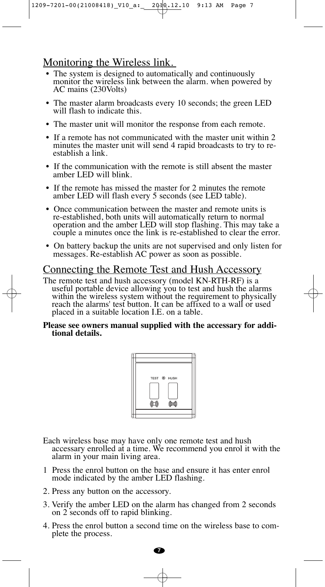## Monitoring the Wireless link.

- The system is designed to automatically and continuously monitor the wireless link between the alarm. when powered by AC mains (230Volts)
- The master alarm broadcasts every 10 seconds; the green LED will flash to indicate this.
- The master unit will monitor the response from each remote.
- If a remote has not communicated with the master unit within 2 minutes the master unit will send 4 rapid broadcasts to try to reestablish a link.
- If the communication with the remote is still absent the master amber LED will blink.
- If the remote has missed the master for 2 minutes the remote amber LED will flash every 5 seconds (see LED table).
- Once communication between the master and remote units is re-established, both units will automatically return to normal operation and the amber LED will stop flashing. This may take a couple a minutes once the link is re-established to clear the error.
- On battery backup the units are not supervised and only listen for messages. Re-establish AC power as soon as possible.

## Connecting the Remote Test and Hush Accessory

The remote test and hush accessory (model KN-RTH-RF) is a useful portable device allowing you to test and hush the alarms within the wireless system without the requirement to physically reach the alarms' test button. It can be affixed to a wall or used placed in a suitable location I.E. on a table.

#### **Please see owners manual supplied with the accessary for additional details.**



Each wireless base may have only one remote test and hush accessary enrolled at a time. We recommend you enrol it with the alarm in your main living area.

- 1 Press the enrol button on the base and ensure it has enter enrol mode indicated by the amber LED flashing.
- 2. Press any button on the accessory.
- 3. Verify the amber LED on the alarm has changed from 2 seconds on 2 seconds off to rapid blinking.
- 4. Press the enrol button a second time on the wireless base to complete the process.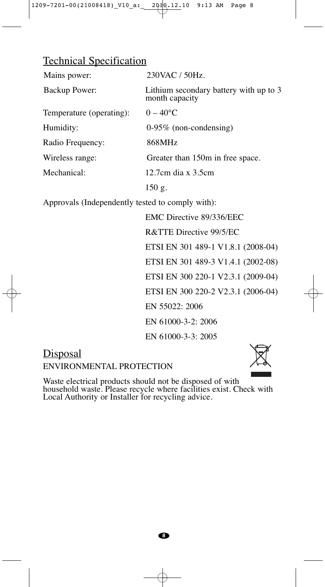## Technical Specification

| Mains power:             | 230VAC / 50Hz.                                           |
|--------------------------|----------------------------------------------------------|
| Backup Power:            | Lithium secondary battery with up to 3<br>month capacity |
| Temperature (operating): | $0 - 40^{\circ}C$                                        |
| Humidity:                | $0-95\%$ (non-condensing)                                |
| Radio Frequency:         | 868MHz                                                   |
| Wireless range:          | Greater than 150m in free space.                         |
| Mechanical:              | 12.7cm dia $x$ 3.5cm                                     |
|                          | 150 g.                                                   |

Approvals (Independently tested to comply with):

EMC Directive 89/336/EEC R&TTE Directive 99/5/EC ETSI EN 301 489-1 V1.8.1 (2008-04) ETSI EN 301 489-3 V1.4.1 (2002-08) ETSI EN 300 220-1 V2.3.1 (2009-04) ETSI EN 300 220-2 V2.3.1 (2006-04) EN 55022: 2006 EN 61000-3-2: 2006 EN 61000-3-3: 2005

# **Disposal**

ENVIRONMENTAL PROTECTION



Waste electrical products should not be disposed of with household waste. Please recycle where facilities exist. Check with Local Authority or Installer for recycling advice.